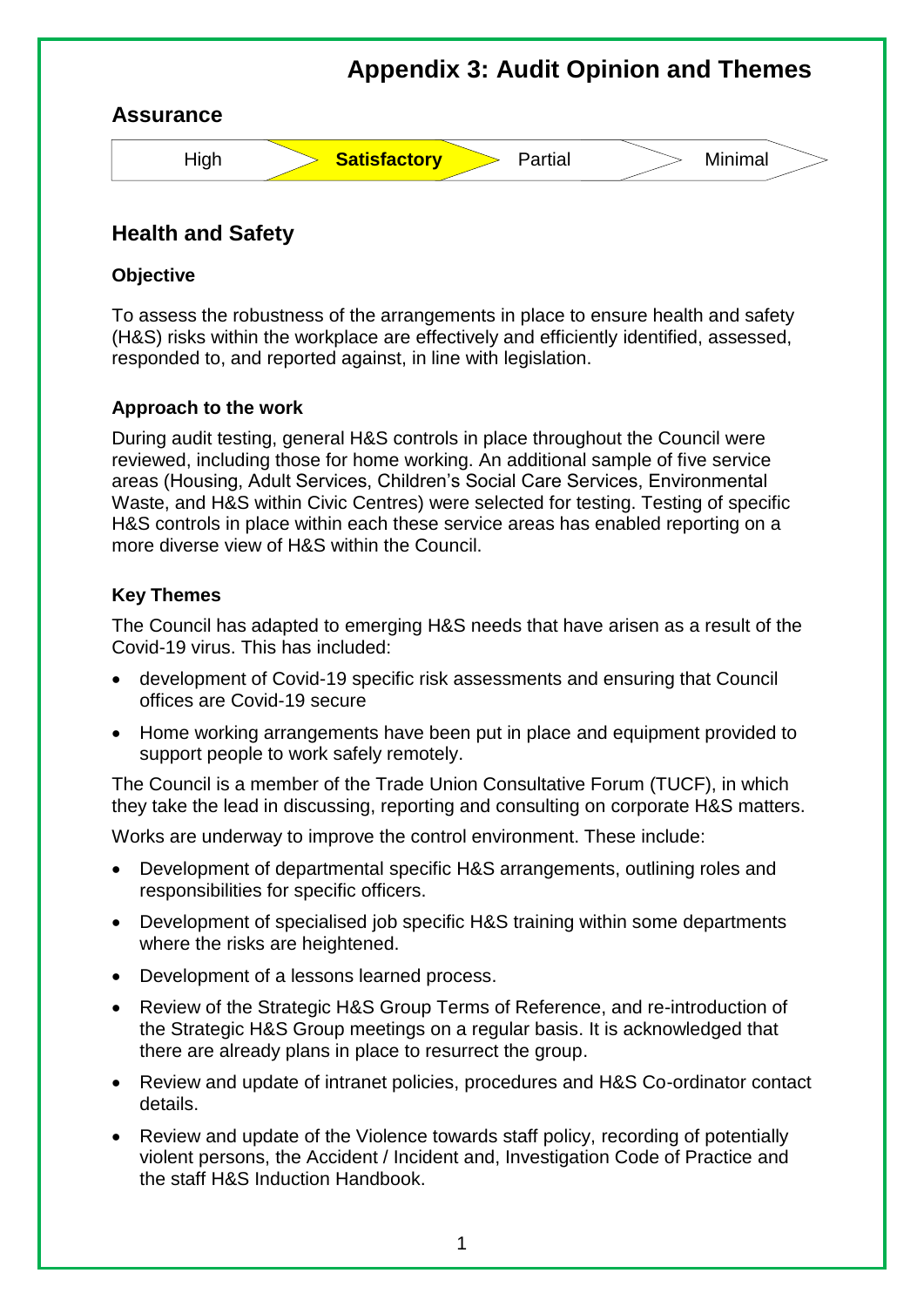

# **Health and Safety**

#### **Objective**

To assess the robustness of the arrangements in place to ensure health and safety (H&S) risks within the workplace are effectively and efficiently identified, assessed, responded to, and reported against, in line with legislation.

### **Approach to the work**

During audit testing, general H&S controls in place throughout the Council were reviewed, including those for home working. An additional sample of five service areas (Housing, Adult Services, Children's Social Care Services, Environmental Waste, and H&S within Civic Centres) were selected for testing. Testing of specific H&S controls in place within each these service areas has enabled reporting on a more diverse view of H&S within the Council.

### **Key Themes**

The Council has adapted to emerging H&S needs that have arisen as a result of the Covid-19 virus. This has included:

- development of Covid-19 specific risk assessments and ensuring that Council offices are Covid-19 secure
- Home working arrangements have been put in place and equipment provided to support people to work safely remotely.

The Council is a member of the Trade Union Consultative Forum (TUCF), in which they take the lead in discussing, reporting and consulting on corporate H&S matters.

Works are underway to improve the control environment. These include:

- Development of departmental specific H&S arrangements, outlining roles and responsibilities for specific officers.
- Development of specialised job specific H&S training within some departments where the risks are heightened.
- Development of a lessons learned process.
- Review of the Strategic H&S Group Terms of Reference, and re-introduction of the Strategic H&S Group meetings on a regular basis. It is acknowledged that there are already plans in place to resurrect the group.
- Review and update of intranet policies, procedures and H&S Co-ordinator contact details.
- Review and update of the Violence towards staff policy, recording of potentially violent persons, the Accident / Incident and, Investigation Code of Practice and the staff H&S Induction Handbook.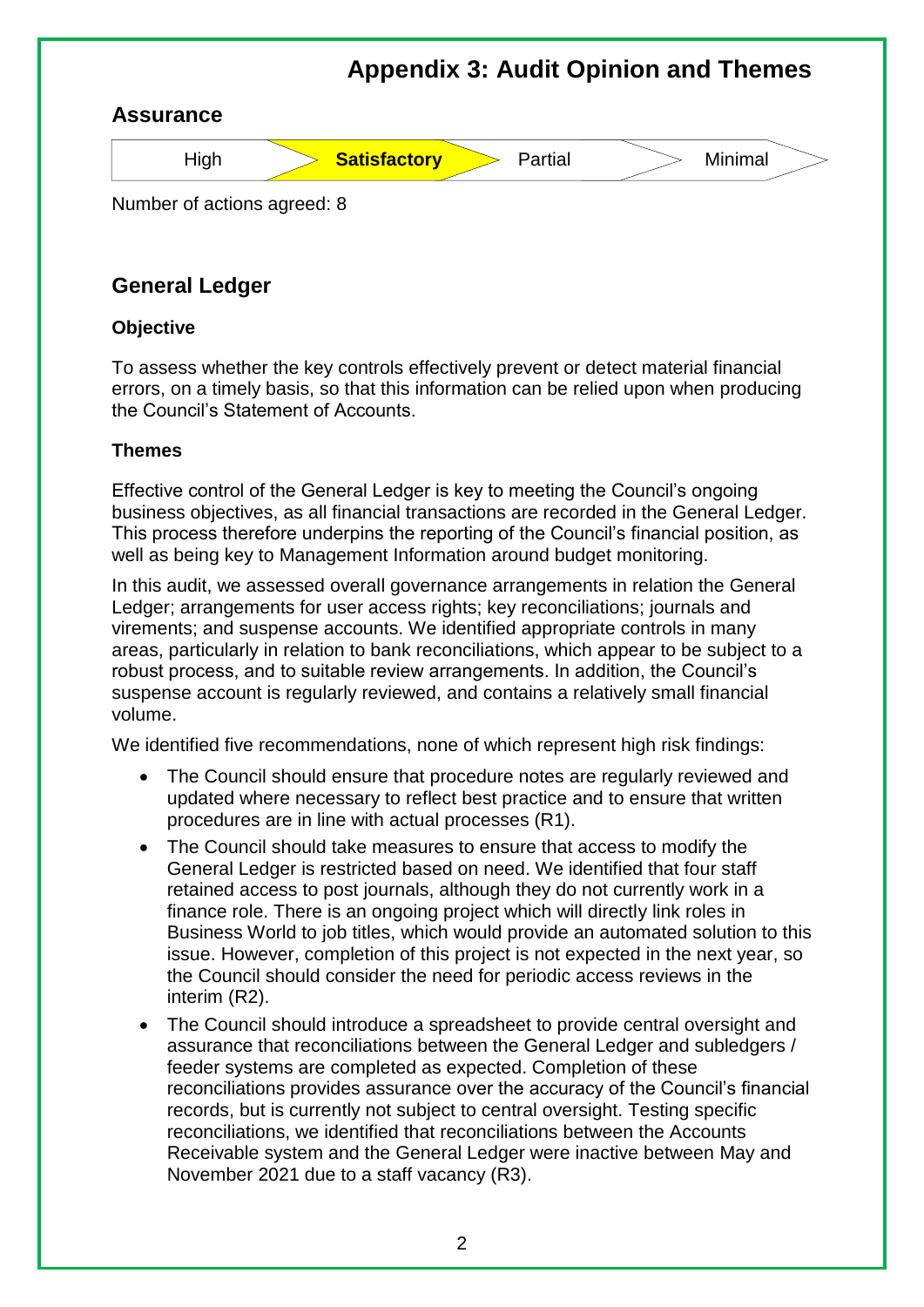

# **General Ledger**

#### **Objective**

To assess whether the key controls effectively prevent or detect material financial errors, on a timely basis, so that this information can be relied upon when producing the Council's Statement of Accounts.

### **Themes**

Effective control of the General Ledger is key to meeting the Council's ongoing business objectives, as all financial transactions are recorded in the General Ledger. This process therefore underpins the reporting of the Council's financial position, as well as being key to Management Information around budget monitoring.

In this audit, we assessed overall governance arrangements in relation the General Ledger; arrangements for user access rights; key reconciliations; journals and virements; and suspense accounts. We identified appropriate controls in many areas, particularly in relation to bank reconciliations, which appear to be subject to a robust process, and to suitable review arrangements. In addition, the Council's suspense account is regularly reviewed, and contains a relatively small financial volume.

We identified five recommendations, none of which represent high risk findings:

- The Council should ensure that procedure notes are regularly reviewed and updated where necessary to reflect best practice and to ensure that written procedures are in line with actual processes (R1).
- The Council should take measures to ensure that access to modify the General Ledger is restricted based on need. We identified that four staff retained access to post journals, although they do not currently work in a finance role. There is an ongoing project which will directly link roles in Business World to job titles, which would provide an automated solution to this issue. However, completion of this project is not expected in the next year, so the Council should consider the need for periodic access reviews in the interim (R2).
- The Council should introduce a spreadsheet to provide central oversight and assurance that reconciliations between the General Ledger and subledgers / feeder systems are completed as expected. Completion of these reconciliations provides assurance over the accuracy of the Council's financial records, but is currently not subject to central oversight. Testing specific reconciliations, we identified that reconciliations between the Accounts Receivable system and the General Ledger were inactive between May and November 2021 due to a staff vacancy (R3).